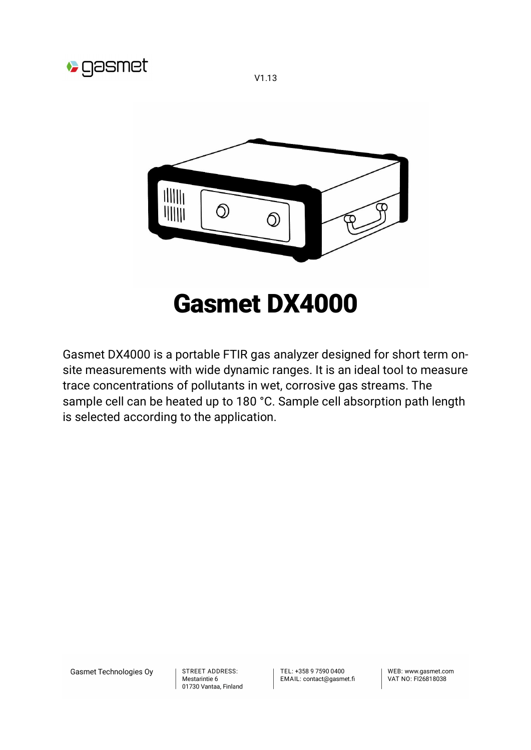

V1.13



# Gasmet DX4000

Gasmet DX4000 is a portable FTIR gas analyzer designed for short term onsite measurements with wide dynamic ranges. It is an ideal tool to measure trace concentrations of pollutants in wet, corrosive gas streams. The sample cell can be heated up to 180 °C. Sample cell absorption path length is selected according to the application.

Gasmet Technologies Oy

STREET ADDRESS: Mestarintie 6 01730 Vantaa, Finland TFL: +358 9 7590 0400 EMAIL: contact@gasmet.fi

WFB: www.gasmet.com VAT NO: FI26818038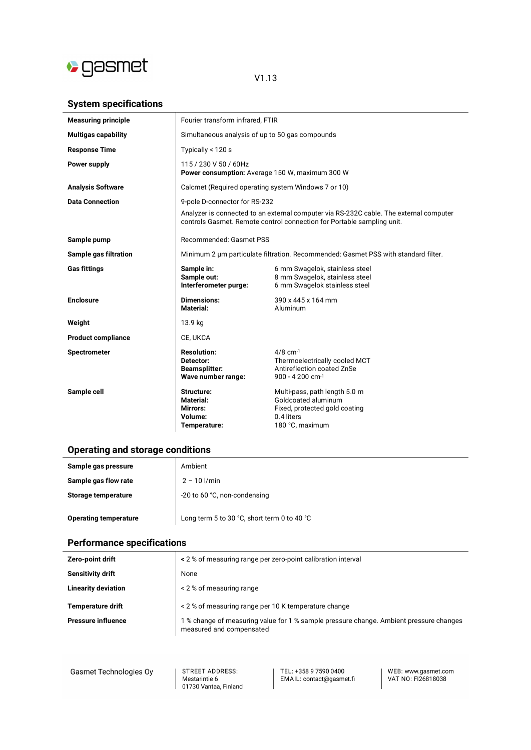

#### V1.13

## **System specifications**

| <b>Measuring principle</b> | Fourier transform infrared, FTIR                                                                                                                                 |                                                                                                                        |
|----------------------------|------------------------------------------------------------------------------------------------------------------------------------------------------------------|------------------------------------------------------------------------------------------------------------------------|
| <b>Multigas capability</b> | Simultaneous analysis of up to 50 gas compounds                                                                                                                  |                                                                                                                        |
| <b>Response Time</b>       | Typically < 120 s                                                                                                                                                |                                                                                                                        |
| Power supply               | 115 / 230 V 50 / 60Hz<br>Power consumption: Average 150 W, maximum 300 W                                                                                         |                                                                                                                        |
| <b>Analysis Software</b>   | Calcmet (Required operating system Windows 7 or 10)                                                                                                              |                                                                                                                        |
| <b>Data Connection</b>     | 9-pole D-connector for RS-232                                                                                                                                    |                                                                                                                        |
|                            | Analyzer is connected to an external computer via RS-232C cable. The external computer<br>controls Gasmet. Remote control connection for Portable sampling unit. |                                                                                                                        |
| Sample pump                | Recommended: Gasmet PSS                                                                                                                                          |                                                                                                                        |
| Sample gas filtration      | Minimum 2 um particulate filtration. Recommended: Gasmet PSS with standard filter.                                                                               |                                                                                                                        |
| <b>Gas fittings</b>        | Sample in:<br>Sample out:<br>Interferometer purge:                                                                                                               | 6 mm Swagelok, stainless steel<br>8 mm Swagelok, stainless steel<br>6 mm Swagelok stainless steel                      |
| <b>Enclosure</b>           | <b>Dimensions:</b><br><b>Material:</b>                                                                                                                           | 390 x 445 x 164 mm<br>Aluminum                                                                                         |
| Weight                     | 13.9 kg                                                                                                                                                          |                                                                                                                        |
| <b>Product compliance</b>  | CE, UKCA                                                                                                                                                         |                                                                                                                        |
| <b>Spectrometer</b>        | <b>Resolution:</b><br>Detector:<br><b>Beamsplitter:</b><br>Wave number range:                                                                                    | $4/8$ cm <sup>-1</sup><br>Thermoelectrically cooled MCT<br>Antireflection coated ZnSe<br>$900 - 4200$ cm <sup>-1</sup> |
| Sample cell                | Structure:<br>Material:<br><b>Mirrors:</b><br>Volume:<br>Temperature:                                                                                            | Multi-pass, path length 5.0 m<br>Goldcoated aluminum<br>Fixed, protected gold coating<br>0.4 liters<br>180 °C, maximum |

## **Operating and storage conditions**

| Sample gas pressure          | Ambient                                     |  |
|------------------------------|---------------------------------------------|--|
| Sample gas flow rate         | $2 - 10$ $1/min$                            |  |
| Storage temperature          | -20 to 60 °C, non-condensing                |  |
| <b>Operating temperature</b> | Long term 5 to 30 °C, short term 0 to 40 °C |  |

## **Performance specifications**

| Zero-point drift           | < 2 % of measuring range per zero-point calibration interval                                                       |  |
|----------------------------|--------------------------------------------------------------------------------------------------------------------|--|
| Sensitivity drift          | None                                                                                                               |  |
| <b>Linearity deviation</b> | < 2 % of measuring range                                                                                           |  |
| <b>Temperature drift</b>   | < 2 % of measuring range per 10 K temperature change                                                               |  |
| <b>Pressure influence</b>  | 1 % change of measuring value for 1 % sample pressure change. Ambient pressure changes<br>measured and compensated |  |

| Gasmet Technologies Oy |  |
|------------------------|--|
|------------------------|--|

STREET ADDRESS: Mestarintie 6<br>Mestarintie 6<br>01730 Vantaa, Finland TEL: +358 9 7590 0400<br>EMAIL: contact@gasmet.fi

WEB: www.gasmet.com<br>VAT NO: FI26818038